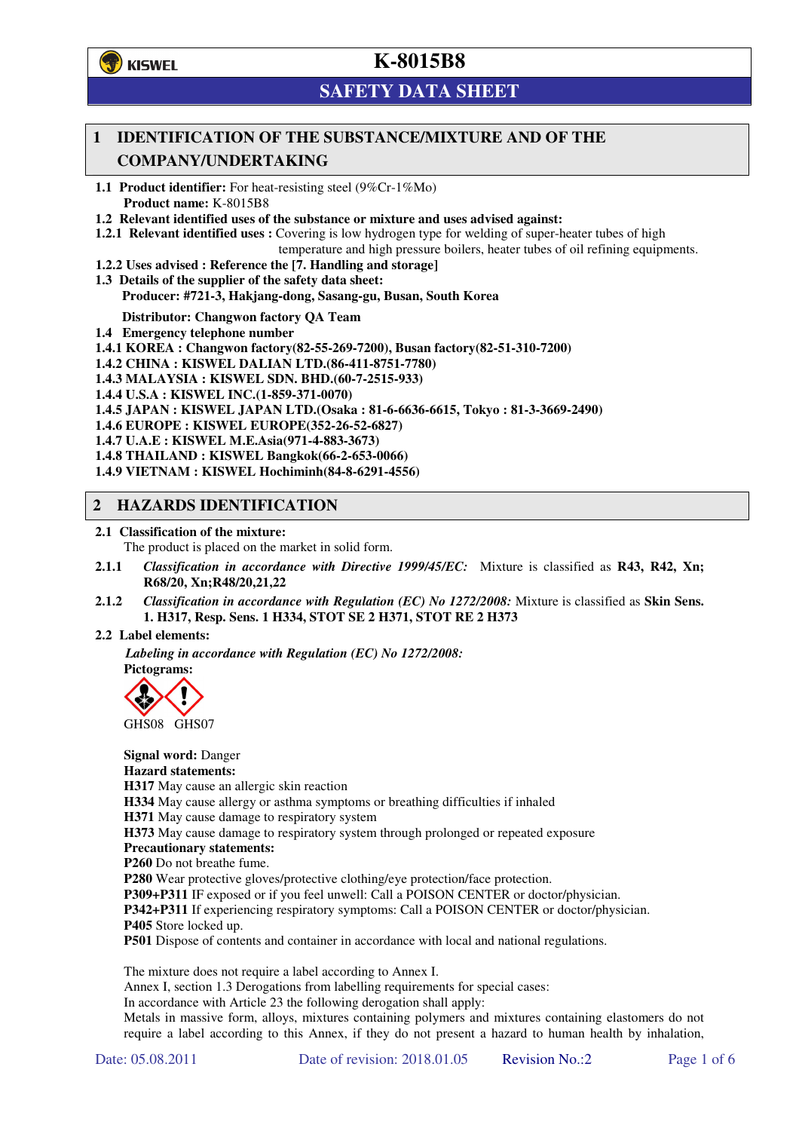

# **SAFETY DATA SHEET**

## **1 IDENTIFICATION OF THE SUBSTANCE/MIXTURE AND OF THE COMPANY/UNDERTAKING**

**1.1 Product identifier:** For heat-resisting steel (9%Cr-1%Mo) **Product name:** K-8015B8

**1.2 Relevant identified uses of the substance or mixture and uses advised against:**

**1.2.1 Relevant identified uses :** Covering is low hydrogen type for welding of super-heater tubes of high

temperature and high pressure boilers, heater tubes of oil refining equipments.

**1.2.2 Uses advised : Reference the [7. Handling and storage]** 

**1.3 Details of the supplier of the safety data sheet: Producer: #721-3, Hakjang-dong, Sasang-gu, Busan, South Korea** 

**Distributor: Changwon factory QA Team** 

**1.4 Emergency telephone number**

**1.4.1 KOREA : Changwon factory(82-55-269-7200), Busan factory(82-51-310-7200)** 

**1.4.2 CHINA : KISWEL DALIAN LTD.(86-411-8751-7780)** 

**1.4.3 MALAYSIA : KISWEL SDN. BHD.(60-7-2515-933)** 

**1.4.4 U.S.A : KISWEL INC.(1-859-371-0070)** 

**1.4.5 JAPAN : KISWEL JAPAN LTD.(Osaka : 81-6-6636-6615, Tokyo : 81-3-3669-2490)** 

**1.4.6 EUROPE : KISWEL EUROPE(352-26-52-6827)** 

**1.4.7 U.A.E : KISWEL M.E.Asia(971-4-883-3673)** 

**1.4.8 THAILAND : KISWEL Bangkok(66-2-653-0066)** 

**1.4.9 VIETNAM : KISWEL Hochiminh(84-8-6291-4556)** 

### **2 HAZARDS IDENTIFICATION**

**2.1 Classification of the mixture:** 

The product is placed on the market in solid form.

- **2.1.1** *Classification in accordance with Directive 1999/45/EC:* Mixture is classified as **R43, R42, Xn; R68/20, Xn;R48/20,21,22**
- **2.1.2** *Classification in accordance with Regulation (EC) No 1272/2008:* Mixture is classified as **Skin Sens. 1. H317, Resp. Sens. 1 H334, STOT SE 2 H371, STOT RE 2 H373**

#### **2.2 Label elements:**

*Labeling in accordance with Regulation (EC) No 1272/2008:*  **Pictograms:** 



GHS08 GHS07

**Signal word:** Danger **Hazard statements: H317** May cause an allergic skin reaction **H334** May cause allergy or asthma symptoms or breathing difficulties if inhaled **H371** May cause damage to respiratory system **H373** May cause damage to respiratory system through prolonged or repeated exposure **Precautionary statements: P260** Do not breathe fume. **P280** Wear protective gloves/protective clothing/eye protection/face protection. **P309+P311** IF exposed or if you feel unwell: Call a POISON CENTER or doctor/physician. **P342+P311** If experiencing respiratory symptoms: Call a POISON CENTER or doctor/physician. **P405** Store locked up.

**P501** Dispose of contents and container in accordance with local and national regulations.

The mixture does not require a label according to Annex I.

Annex I, section 1.3 Derogations from labelling requirements for special cases:

In accordance with Article 23 the following derogation shall apply:

Metals in massive form, alloys, mixtures containing polymers and mixtures containing elastomers do not require a label according to this Annex, if they do not present a hazard to human health by inhalation,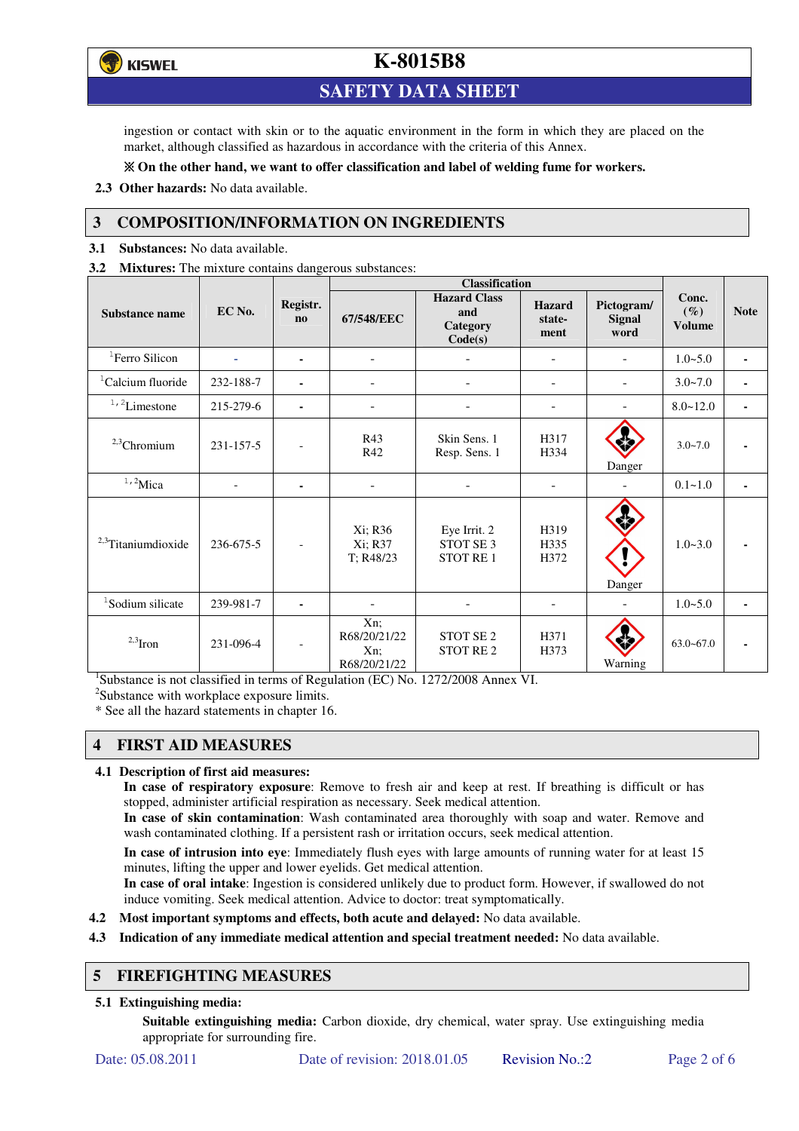**ず) KISWEL** 

## **K-8015B8**

## **SAFETY DATA SHEET**

ingestion or contact with skin or to the aquatic environment in the form in which they are placed on the market, although classified as hazardous in accordance with the criteria of this Annex.

### **On the other hand, we want to offer classification and label of welding fume for workers.**

**2.3 Other hazards:** No data available.

### **3 COMPOSITION/INFORMATION ON INGREDIENTS**

**3.1 Substances:** No data available.

**3.2 Mixtures:** The mixture contains dangerous substances:

|                                |                |                            | <b>Classification</b>                         |                                                   |                                 |                                     |                                  |                |
|--------------------------------|----------------|----------------------------|-----------------------------------------------|---------------------------------------------------|---------------------------------|-------------------------------------|----------------------------------|----------------|
| <b>Substance name</b>          | EC No.         | Registr.<br>n <sub>0</sub> | 67/548/EEC                                    | <b>Hazard Class</b><br>and<br>Category<br>Code(s) | <b>Hazard</b><br>state-<br>ment | Pictogram/<br><b>Signal</b><br>word | Conc.<br>$(\%)$<br><b>Volume</b> | <b>Note</b>    |
| <sup>1</sup> Ferro Silicon     |                | ۰                          |                                               |                                                   |                                 |                                     | $1.0 - 5.0$                      | $\blacksquare$ |
| <sup>1</sup> Calcium fluoride  | 232-188-7      |                            | $\overline{\phantom{0}}$                      |                                                   | $\overline{\phantom{a}}$        | $\overline{\phantom{a}}$            | $3.0 - 7.0$                      | ٠              |
| $^{\mathrm{1,\,2}}$ Limestone  | 215-279-6      | $\blacksquare$             | $\blacksquare$                                |                                                   | $\blacksquare$                  |                                     | $8.0 - 12.0$                     | ٠              |
| $2,3$ Chromium                 | 231-157-5      |                            | R43<br>R42                                    | Skin Sens. 1<br>Resp. Sens. 1                     | H317<br>H334                    | Danger                              | $3.0 - 7.0$                      |                |
| $1,2$ Mica                     | $\overline{a}$ | $\blacksquare$             | $\overline{\phantom{a}}$                      |                                                   | $\overline{\phantom{a}}$        |                                     | $0.1 - 1.0$                      |                |
| <sup>2,3</sup> Titaniumdioxide | 236-675-5      | $\overline{\phantom{a}}$   | Xi; R36<br>Xi; R37<br>T; R48/23               | Eye Irrit. 2<br>STOT SE 3<br><b>STOT RE1</b>      | H319<br>H335<br>H372            | Danger                              | $1.0 - 3.0$                      |                |
| <sup>1</sup> Sodium silicate   | 239-981-7      |                            |                                               |                                                   |                                 |                                     | $1.0 - 5.0$                      |                |
| $2,3$ Iron                     | 231-096-4      | $\overline{\phantom{a}}$   | Xn;<br>R68/20/21/22<br>$Xn$ ;<br>R68/20/21/22 | STOT SE <sub>2</sub><br><b>STOT RE2</b>           | H371<br>H373                    | Warning                             | $63.0 - 67.0$                    |                |

<sup>1</sup>Substance is not classified in terms of Regulation (EC) No. 1272/2008 Annex VI.

<sup>2</sup>Substance with workplace exposure limits.

\* See all the hazard statements in chapter 16.

### **4 FIRST AID MEASURES**

#### **4.1 Description of first aid measures:**

**In case of respiratory exposure**: Remove to fresh air and keep at rest. If breathing is difficult or has stopped, administer artificial respiration as necessary. Seek medical attention.

**In case of skin contamination**: Wash contaminated area thoroughly with soap and water. Remove and wash contaminated clothing. If a persistent rash or irritation occurs, seek medical attention.

 **In case of intrusion into eye**: Immediately flush eyes with large amounts of running water for at least 15 minutes, lifting the upper and lower eyelids. Get medical attention.

**In case of oral intake**: Ingestion is considered unlikely due to product form. However, if swallowed do not induce vomiting. Seek medical attention. Advice to doctor: treat symptomatically.

**4.2 Most important symptoms and effects, both acute and delayed:** No data available.

**4.3 Indication of any immediate medical attention and special treatment needed:** No data available.

## **5 FIREFIGHTING MEASURES**

### **5.1 Extinguishing media:**

**Suitable extinguishing media:** Carbon dioxide, dry chemical, water spray. Use extinguishing media appropriate for surrounding fire.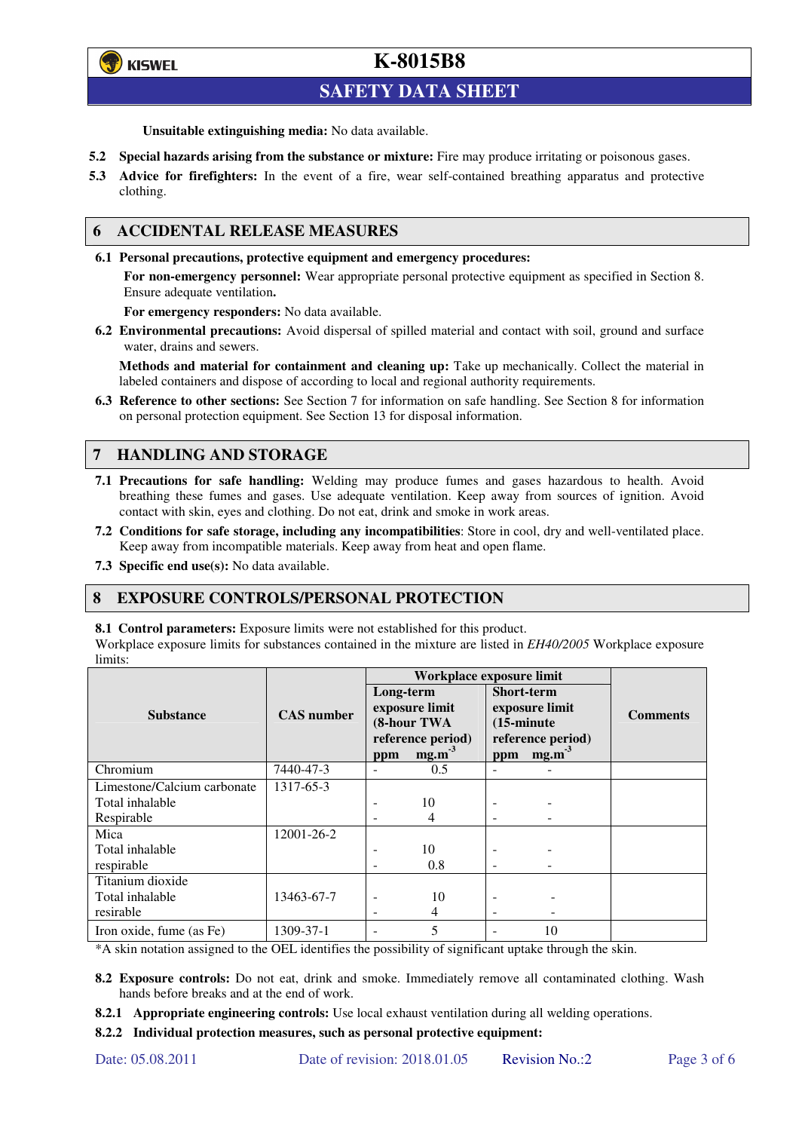

## **SAFETY DATA SHEET**

**Unsuitable extinguishing media:** No data available.

- **5.2 Special hazards arising from the substance or mixture:** Fire may produce irritating or poisonous gases.
- **5.3 Advice for firefighters:** In the event of a fire, wear self-contained breathing apparatus and protective clothing.

### **6 ACCIDENTAL RELEASE MEASURES**

**6.1 Personal precautions, protective equipment and emergency procedures:** 

**For non-emergency personnel:** Wear appropriate personal protective equipment as specified in Section 8. Ensure adequate ventilation**.** 

**For emergency responders:** No data available.

**6.2 Environmental precautions:** Avoid dispersal of spilled material and contact with soil, ground and surface water, drains and sewers.

**Methods and material for containment and cleaning up:** Take up mechanically. Collect the material in labeled containers and dispose of according to local and regional authority requirements.

**6.3 Reference to other sections:** See Section 7 for information on safe handling. See Section 8 for information on personal protection equipment. See Section 13 for disposal information.

### **7 HANDLING AND STORAGE**

- **7.1 Precautions for safe handling:** Welding may produce fumes and gases hazardous to health. Avoid breathing these fumes and gases. Use adequate ventilation. Keep away from sources of ignition. Avoid contact with skin, eyes and clothing. Do not eat, drink and smoke in work areas.
- **7.2 Conditions for safe storage, including any incompatibilities**: Store in cool, dry and well-ventilated place. Keep away from incompatible materials. Keep away from heat and open flame.
- **7.3 Specific end use(s):** No data available.

### **8 EXPOSURE CONTROLS/PERSONAL PROTECTION**

**8.1 Control parameters:** Exposure limits were not established for this product.

Workplace exposure limits for substances contained in the mixture are listed in *EH40/2005* Workplace exposure limits:

|                             |                   | Workplace exposure limit                                                           |     |                                                                                                              |    |                 |  |
|-----------------------------|-------------------|------------------------------------------------------------------------------------|-----|--------------------------------------------------------------------------------------------------------------|----|-----------------|--|
| <b>Substance</b>            | <b>CAS</b> number | Long-term<br>exposure limit<br>(8-hour TWA<br>reference period)<br>$mg.m-3$<br>ppm |     | <b>Short-term</b><br>exposure limit<br>$(15\text{-minute})$<br>reference period)<br>mg.m <sup>3</sup><br>ppm |    | <b>Comments</b> |  |
| Chromium                    | 7440-47-3         | $\overline{\phantom{a}}$                                                           | 0.5 | $\equiv$                                                                                                     |    |                 |  |
| Limestone/Calcium carbonate | 1317-65-3         |                                                                                    |     |                                                                                                              |    |                 |  |
| Total inhalable             |                   | ۰                                                                                  | 10  |                                                                                                              |    |                 |  |
| Respirable                  |                   | -                                                                                  | 4   |                                                                                                              |    |                 |  |
| Mica                        | 12001-26-2        |                                                                                    |     |                                                                                                              |    |                 |  |
| Total inhalable             |                   | ۰                                                                                  | 10  |                                                                                                              |    |                 |  |
| respirable                  |                   | -                                                                                  | 0.8 | $\overline{\phantom{a}}$                                                                                     |    |                 |  |
| Titanium dioxide            |                   |                                                                                    |     |                                                                                                              |    |                 |  |
| Total inhalable             | 13463-67-7        | $\overline{\phantom{0}}$                                                           | 10  |                                                                                                              |    |                 |  |
| resirable                   |                   | -                                                                                  | 4   | -                                                                                                            |    |                 |  |
| Iron oxide, fume (as Fe)    | 1309-37-1         | ۰                                                                                  | 5   |                                                                                                              | 10 |                 |  |

\*A skin notation assigned to the OEL identifies the possibility of significant uptake through the skin.

- **8.2 Exposure controls:** Do not eat, drink and smoke. Immediately remove all contaminated clothing. Wash hands before breaks and at the end of work.
- **8.2.1 Appropriate engineering controls:** Use local exhaust ventilation during all welding operations.

**8.2.2 Individual protection measures, such as personal protective equipment:**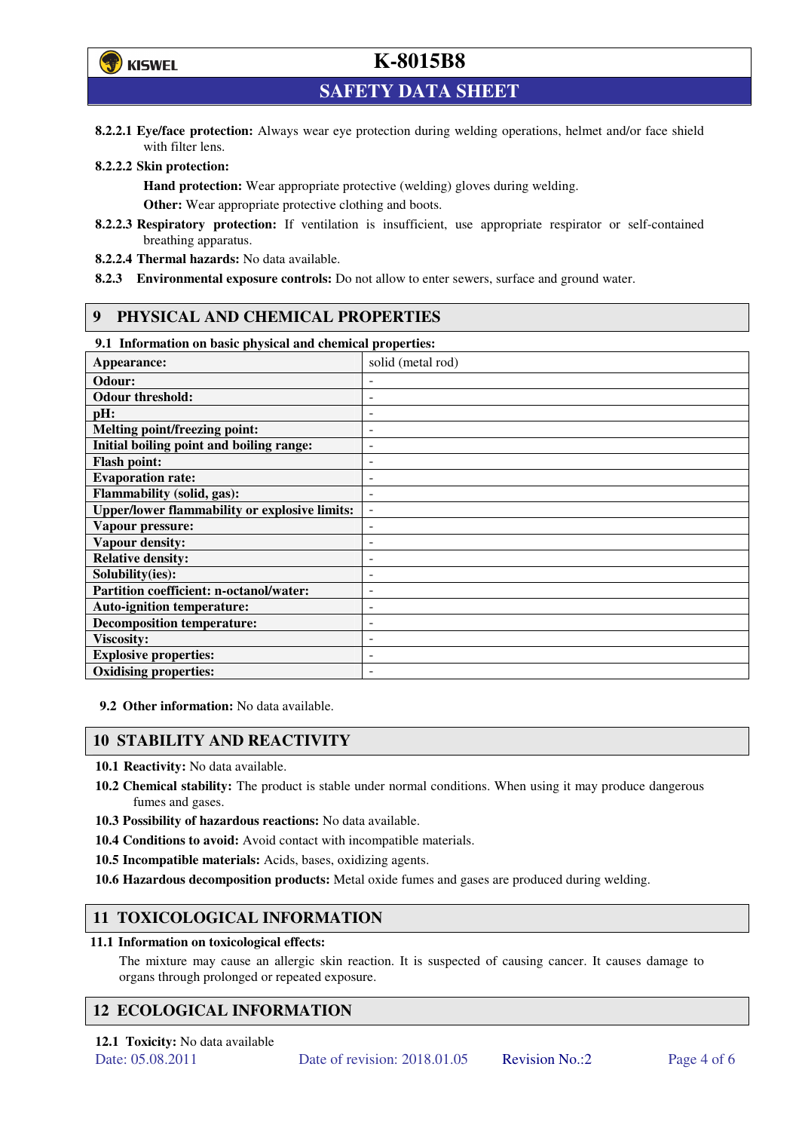

**SAFETY DATA SHEET** 

**8.2.2.1 Eye/face protection:** Always wear eye protection during welding operations, helmet and/or face shield with filter lens.

### **8.2.2.2 Skin protection:**

**Hand protection:** Wear appropriate protective (welding) gloves during welding. **Other:** Wear appropriate protective clothing and boots.

- **8.2.2.3 Respiratory protection:** If ventilation is insufficient, use appropriate respirator or self-contained breathing apparatus.
- **8.2.2.4 Thermal hazards:** No data available.
- **8.2.3 Environmental exposure controls:** Do not allow to enter sewers, surface and ground water.

### **9 PHYSICAL AND CHEMICAL PROPERTIES**

### **9.1 Information on basic physical and chemical properties:**

| our amoramunon on ousie physical und encancen properties.<br>Appearance: | solid (metal rod)        |
|--------------------------------------------------------------------------|--------------------------|
| Odour:                                                                   |                          |
| <b>Odour threshold:</b>                                                  |                          |
| pH:                                                                      |                          |
| <b>Melting point/freezing point:</b>                                     | -                        |
| Initial boiling point and boiling range:                                 | $\qquad \qquad -$        |
| <b>Flash point:</b>                                                      |                          |
| <b>Evaporation rate:</b>                                                 |                          |
| <b>Flammability (solid, gas):</b>                                        |                          |
| <b>Upper/lower flammability or explosive limits:</b>                     | $\overline{\phantom{a}}$ |
| Vapour pressure:                                                         | ۰                        |
| Vapour density:                                                          |                          |
| <b>Relative density:</b>                                                 |                          |
| Solubility(ies):                                                         |                          |
| Partition coefficient: n-octanol/water:                                  | $\overline{a}$           |
| <b>Auto-ignition temperature:</b>                                        | -                        |
| <b>Decomposition temperature:</b>                                        |                          |
| <b>Viscosity:</b>                                                        |                          |
| <b>Explosive properties:</b>                                             | ۰                        |
| <b>Oxidising properties:</b>                                             |                          |

**9.2 Other information:** No data available.

### **10 STABILITY AND REACTIVITY**

**10.1 Reactivity:** No data available.

- **10.2 Chemical stability:** The product is stable under normal conditions. When using it may produce dangerous fumes and gases.
- **10.3 Possibility of hazardous reactions:** No data available.
- **10.4 Conditions to avoid:** Avoid contact with incompatible materials.
- **10.5 Incompatible materials:** Acids, bases, oxidizing agents.
- **10.6 Hazardous decomposition products:** Metal oxide fumes and gases are produced during welding.

## **11 TOXICOLOGICAL INFORMATION**

### **11.1 Information on toxicological effects:**

The mixture may cause an allergic skin reaction. It is suspected of causing cancer. It causes damage to organs through prolonged or repeated exposure.

## **12 ECOLOGICAL INFORMATION**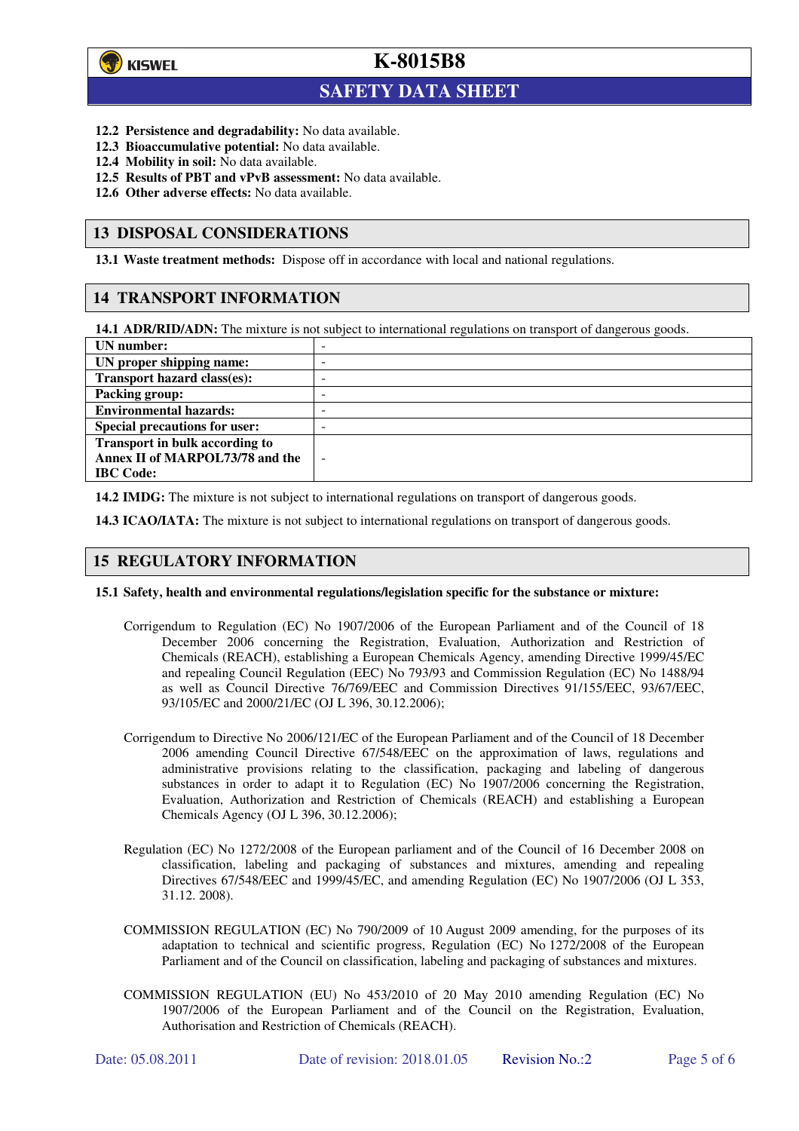

 $\overline{a}$ 

**K-8015B8**

## **SAFETY DATA SHEET**

- **12.2 Persistence and degradability:** No data available.
- **12.3 Bioaccumulative potential:** No data available.
- **12.4 Mobility in soil:** No data available.
- **12.5 Results of PBT and vPvB assessment:** No data available.
- **12.6 Other adverse effects:** No data available.

### **13 DISPOSAL CONSIDERATIONS**

**13.1 Waste treatment methods:** Dispose off in accordance with local and national regulations.

### **14 TRANSPORT INFORMATION**

**14.1 ADR/RID/ADN:** The mixture is not subject to international regulations on transport of dangerous goods.

| UN number:                            | -                        |
|---------------------------------------|--------------------------|
| UN proper shipping name:              | -                        |
| Transport hazard class(es):           | -                        |
| <b>Packing group:</b>                 | -                        |
| <b>Environmental hazards:</b>         | -                        |
| <b>Special precautions for user:</b>  | -                        |
| <b>Transport in bulk according to</b> |                          |
| Annex II of MARPOL73/78 and the       | $\overline{\phantom{a}}$ |
| <b>IBC</b> Code:                      |                          |

**14.2 IMDG:** The mixture is not subject to international regulations on transport of dangerous goods.

**14.3 ICAO/IATA:** The mixture is not subject to international regulations on transport of dangerous goods.

### **15 REGULATORY INFORMATION**

#### **15.1 Safety, health and environmental regulations/legislation specific for the substance or mixture:**

- Corrigendum to Regulation (EC) No 1907/2006 of the European Parliament and of the Council of 18 December 2006 concerning the Registration, Evaluation, Authorization and Restriction of Chemicals (REACH), establishing a European Chemicals Agency, amending Directive 1999/45/EC and repealing Council Regulation (EEC) No 793/93 and Commission Regulation (EC) No 1488/94 as well as Council Directive 76/769/EEC and Commission Directives 91/155/EEC, 93/67/EEC, 93/105/EC and 2000/21/EC (OJ L 396, 30.12.2006);
- Corrigendum to Directive No 2006/121/EC of the European Parliament and of the Council of 18 December 2006 amending Council Directive 67/548/EEC on the approximation of laws, regulations and administrative provisions relating to the classification, packaging and labeling of dangerous substances in order to adapt it to Regulation (EC) No 1907/2006 concerning the Registration, Evaluation, Authorization and Restriction of Chemicals (REACH) and establishing a European Chemicals Agency (OJ L 396, 30.12.2006);
- Regulation (EC) No 1272/2008 of the European parliament and of the Council of 16 December 2008 on classification, labeling and packaging of substances and mixtures, amending and repealing Directives 67/548/EEC and 1999/45/EC, and amending Regulation (EC) No 1907/2006 (OJ L 353, 31.12. 2008).
- COMMISSION REGULATION (EC) No 790/2009 of 10 August 2009 amending, for the purposes of its adaptation to technical and scientific progress, Regulation (EC) No 1272/2008 of the European Parliament and of the Council on classification, labeling and packaging of substances and mixtures.
- COMMISSION REGULATION (EU) No 453/2010 of 20 May 2010 amending Regulation (EC) No 1907/2006 of the European Parliament and of the Council on the Registration, Evaluation, Authorisation and Restriction of Chemicals (REACH).